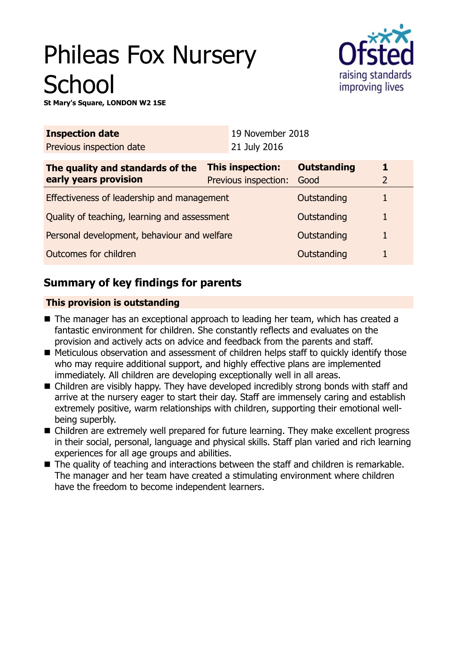# Phileas Fox Nursery **School**



**St Mary's Square, LONDON W2 1SE**

| <b>Inspection date</b>                                      |  | 19 November 2018     |                    |   |  |
|-------------------------------------------------------------|--|----------------------|--------------------|---|--|
| Previous inspection date                                    |  | 21 July 2016         |                    |   |  |
| <b>This inspection:</b><br>The quality and standards of the |  |                      | <b>Outstanding</b> |   |  |
| early years provision                                       |  | Previous inspection: | Good               | 2 |  |
| Effectiveness of leadership and management                  |  |                      | Outstanding        | 1 |  |
| Quality of teaching, learning and assessment                |  |                      | Outstanding        | 1 |  |
| Personal development, behaviour and welfare                 |  |                      | Outstanding        | 1 |  |
| Outcomes for children                                       |  |                      | Outstanding        |   |  |

# **Summary of key findings for parents**

## **This provision is outstanding**

- The manager has an exceptional approach to leading her team, which has created a fantastic environment for children. She constantly reflects and evaluates on the provision and actively acts on advice and feedback from the parents and staff.
- Meticulous observation and assessment of children helps staff to quickly identify those who may require additional support, and highly effective plans are implemented immediately. All children are developing exceptionally well in all areas.
- Children are visibly happy. They have developed incredibly strong bonds with staff and arrive at the nursery eager to start their day. Staff are immensely caring and establish extremely positive, warm relationships with children, supporting their emotional wellbeing superbly.
- Children are extremely well prepared for future learning. They make excellent progress in their social, personal, language and physical skills. Staff plan varied and rich learning experiences for all age groups and abilities.
- The quality of teaching and interactions between the staff and children is remarkable. The manager and her team have created a stimulating environment where children have the freedom to become independent learners.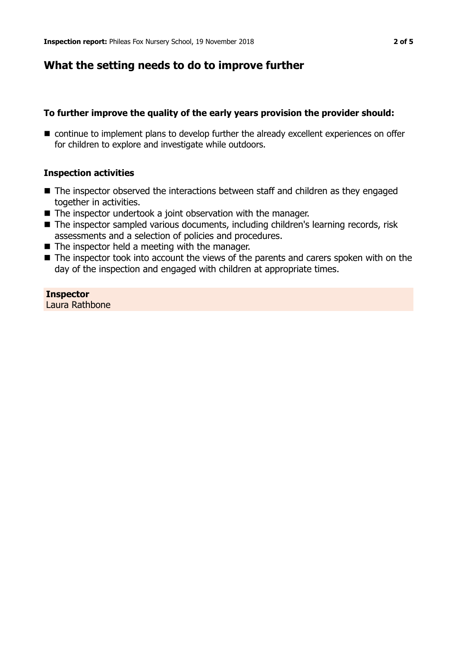## **What the setting needs to do to improve further**

#### **To further improve the quality of the early years provision the provider should:**

■ continue to implement plans to develop further the already excellent experiences on offer for children to explore and investigate while outdoors.

#### **Inspection activities**

- $\blacksquare$  The inspector observed the interactions between staff and children as they engaged together in activities.
- $\blacksquare$  The inspector undertook a joint observation with the manager.
- The inspector sampled various documents, including children's learning records, risk assessments and a selection of policies and procedures.
- $\blacksquare$  The inspector held a meeting with the manager.
- $\blacksquare$  The inspector took into account the views of the parents and carers spoken with on the day of the inspection and engaged with children at appropriate times.

#### **Inspector** Laura Rathbone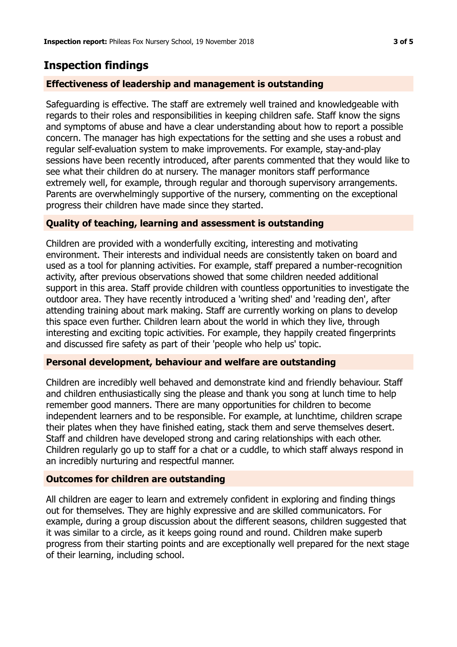# **Inspection findings**

## **Effectiveness of leadership and management is outstanding**

Safeguarding is effective. The staff are extremely well trained and knowledgeable with regards to their roles and responsibilities in keeping children safe. Staff know the signs and symptoms of abuse and have a clear understanding about how to report a possible concern. The manager has high expectations for the setting and she uses a robust and regular self-evaluation system to make improvements. For example, stay-and-play sessions have been recently introduced, after parents commented that they would like to see what their children do at nursery. The manager monitors staff performance extremely well, for example, through regular and thorough supervisory arrangements. Parents are overwhelmingly supportive of the nursery, commenting on the exceptional progress their children have made since they started.

## **Quality of teaching, learning and assessment is outstanding**

Children are provided with a wonderfully exciting, interesting and motivating environment. Their interests and individual needs are consistently taken on board and used as a tool for planning activities. For example, staff prepared a number-recognition activity, after previous observations showed that some children needed additional support in this area. Staff provide children with countless opportunities to investigate the outdoor area. They have recently introduced a 'writing shed' and 'reading den', after attending training about mark making. Staff are currently working on plans to develop this space even further. Children learn about the world in which they live, through interesting and exciting topic activities. For example, they happily created fingerprints and discussed fire safety as part of their 'people who help us' topic.

## **Personal development, behaviour and welfare are outstanding**

Children are incredibly well behaved and demonstrate kind and friendly behaviour. Staff and children enthusiastically sing the please and thank you song at lunch time to help remember good manners. There are many opportunities for children to become independent learners and to be responsible. For example, at lunchtime, children scrape their plates when they have finished eating, stack them and serve themselves desert. Staff and children have developed strong and caring relationships with each other. Children regularly go up to staff for a chat or a cuddle, to which staff always respond in an incredibly nurturing and respectful manner.

## **Outcomes for children are outstanding**

All children are eager to learn and extremely confident in exploring and finding things out for themselves. They are highly expressive and are skilled communicators. For example, during a group discussion about the different seasons, children suggested that it was similar to a circle, as it keeps going round and round. Children make superb progress from their starting points and are exceptionally well prepared for the next stage of their learning, including school.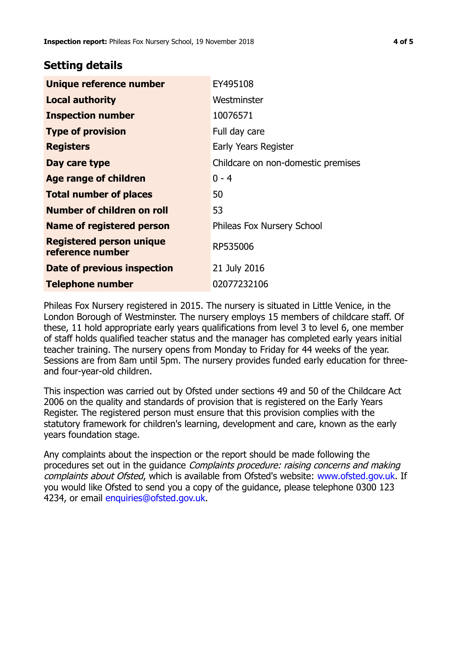## **Setting details**

| Unique reference number                             | EY495108                           |  |
|-----------------------------------------------------|------------------------------------|--|
| <b>Local authority</b>                              | Westminster                        |  |
| <b>Inspection number</b>                            | 10076571                           |  |
| <b>Type of provision</b>                            | Full day care                      |  |
| <b>Registers</b>                                    | Early Years Register               |  |
| Day care type                                       | Childcare on non-domestic premises |  |
| <b>Age range of children</b>                        | $0 - 4$                            |  |
| <b>Total number of places</b>                       | 50                                 |  |
| <b>Number of children on roll</b>                   | 53                                 |  |
| <b>Name of registered person</b>                    | Phileas Fox Nursery School         |  |
| <b>Registered person unique</b><br>reference number | RP535006                           |  |
| Date of previous inspection                         | 21 July 2016                       |  |
| <b>Telephone number</b>                             | 02077232106                        |  |

Phileas Fox Nursery registered in 2015. The nursery is situated in Little Venice, in the London Borough of Westminster. The nursery employs 15 members of childcare staff. Of these, 11 hold appropriate early years qualifications from level 3 to level 6, one member of staff holds qualified teacher status and the manager has completed early years initial teacher training. The nursery opens from Monday to Friday for 44 weeks of the year. Sessions are from 8am until 5pm. The nursery provides funded early education for threeand four-year-old children.

This inspection was carried out by Ofsted under sections 49 and 50 of the Childcare Act 2006 on the quality and standards of provision that is registered on the Early Years Register. The registered person must ensure that this provision complies with the statutory framework for children's learning, development and care, known as the early years foundation stage.

Any complaints about the inspection or the report should be made following the procedures set out in the guidance Complaints procedure: raising concerns and making complaints about Ofsted, which is available from Ofsted's website: www.ofsted.gov.uk. If you would like Ofsted to send you a copy of the guidance, please telephone 0300 123 4234, or email [enquiries@ofsted.gov.uk.](mailto:enquiries@ofsted.gov.uk)